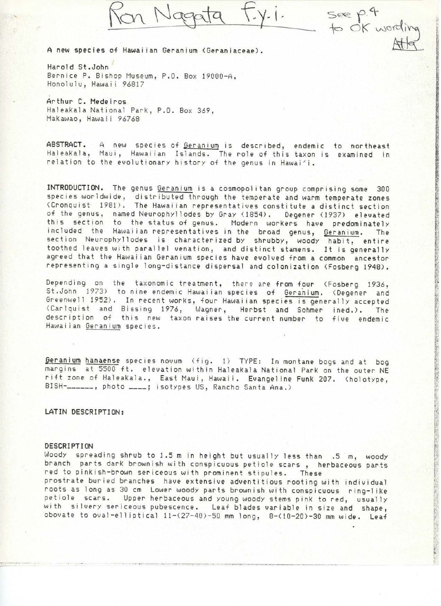Ron Nagata

F.y.i. see p.4<br>to ok wording

A **new spec i es** of Hawa iian Geranium (Geraniaceae).

Harold St.John Bernice P. Bishop Museum, P.O. Box 19000-A, Honolulu, Hawaii 96817

Arthur C. Medeiros Haleakala National Park, P.O. Box 369, Makawao, Hawaii 96768

ABSTRACT. A new species of Geranium is described, endemic to northeast Haleakala, Maui, Hawaiian Islands. The role of this taxon is examined in relation to the evolutionary history of the genus in Hawai'i.

INTRODUCTION. The genus Geranium is a cosmopolitan group comprising some 300 species worldwide, distributed through the temperate and warm temperate zones (Cronquist 1981). The Hawaiian representatives constitute a distinct section of the genus, named Neurophyllodes by Gray (1854). Degener (1937) elevated this section to the status of genus. Modern workers have predominate included the Hawaiian-representatives in the broad genus, <u>Gera</u>nium. The section Neurophyllodes is characterized by shrubby, woody habit, entire toothed leaves with parallel venation, and distinct stamens. It is generally agreed that the Hawaiian Geranium species have evolved from a common ancestor representing a single long-distance dispersal and colonization (Fosberg 1948).

Depending on the taxonomic treatment, there are from four (Fosberg 1936, St.John 1973) to nine endemic Hawaiian species of Geranium. (Degener and Greenwell 1952). In recent works, four Hawaiian species is generally accepted (Carlquist and Bissing 1976, Wagner, Herbst and Sohmer ined.). The description of this new taxon raises the current number to five endemic Hawaiian Geran ium spec ies .

Geranium hanaense species novum (fig. 1) TYPE: In montane bogs and at bog margins at 5500 ft. elevation within Haleakala National Park on the outer NE rift zone of Haleakala., East Maui, Hawaii. Evangeline Funk 207. (holotype, BISH-\_\_\_\_\_\_, photo \_\_\_\_; isotypes US, Rancho Santa Ana.)

# LATIN DESCRIPTION:

#### **DESCRIPTION**

Woody spreading shrub to 1.5 m in height but usually less than .5 m, woody branch parts dark brownish with conspicuous petiole scars, herbaceous parts red to pinkish-brown sericeous with prominent stipules. These prostrate buried branches have extensive adventitious rooting with individual roots as long as 30 cm Lower woody parts brownish with conspicuous ring-like petiole scars. Upper herbaceous and young woody stems pink to red, usually with silvery sericeous pubescence. Leaf blades variable in size and shape, obovate to oval-elliptical 11-(27-40)-50 mm long, 8-(10-20)-30 mm wide. Leaf

- -- -- <sup>~</sup>.. ~ ... -- ........ --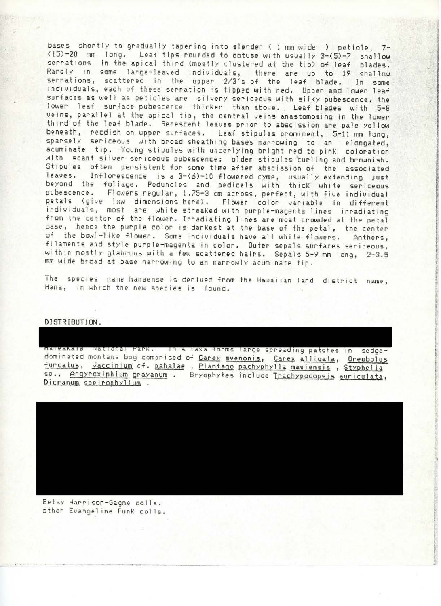bases shortly to gradually tapering into slender ( 1 mm wide ) petiole, 7- (15)-20 mm long. Leaf tips rounded to obtuse with usually 3-(5)-7 shallow serrations in the apical third (mostly clustered at the tip) of leaf blades. Rarely in some large-leaved individuals, there are up to 19 shallow serrations, scattered in the upper 2/3's of the leaf blade. In some individuals, each of these serration is tipped with red. Upper and lower leaf surfaces as well as petioles are silvery sericeous with silky pubescence, the lower leaf surface pubescence thicker than above. Leaf blades with 5-8 veins, parallel at the apical tip, the central veins anastomosing in the lower third of the leaf blade. Senescent leaves prior to abscission are pale yellow beneath, reddish on upper surfaces. Leaf stipules prominent, 5-11 mm long, sparsely sericeous with broad sheath ing bases narrowing to an elongated, acuminate tip. Young stipules with underlying bright red to pink coloration with scant silver sericeous pubescence; older stipules curling and brownish. Stipules often persistent for some time after abscission of the associated<br>leaves. Inflorescence is a 3-(6)-10 flowered cyme, usually extending just Inflorescence is a  $3-(6)-10$  flowered cyme, usually extending just beyond the foliage. Peduncles and pedicels with thick white sericeous pubescence. Flowers regular, 1.75-3 cm across, perfect, with five individual petals (give lxw dimensions here). Flower color variable in different ind ividuals, most are white streaked with purple-magenta I ines irradiating from the center of the flower. Irradiating lines are most crowded at the petal base, hence the purple color is darkest at the base of the petal, the center of the bowl-like flower. Some individuals have all white flowers. Anthers, filaments and style purple-magenta in color. Outer sepals surfaces sericeous, within mostly glabrous with a few scattered hairs. Sepals 5-9 mm long, 2-3.5 mm wide broad at base narrowing to an narrowly acuminate tip.

The species name hanaense is derived from the Hawaiian land district name, Hana, in which the new species is found.

> **l I**

A. 200.00

**International Control** 

# DI STRl BUT ION.

naieakaia National Park. Tinis taxa forms large spreading patches in sedgedominated montane bog comprised of Carex svenonis, Carex alligata, Oreobolus furcatus, Vaccinium cf. pahalae, Plantago pachyphylla mauiensis, Styphelia sp., Argyroxiphium grayanum . Bryophytes include Trachypodopsis auriculata, Dicranum speirophyllum.

Betsy Harrison-Gagne colls . other Evangeline FunK col ls .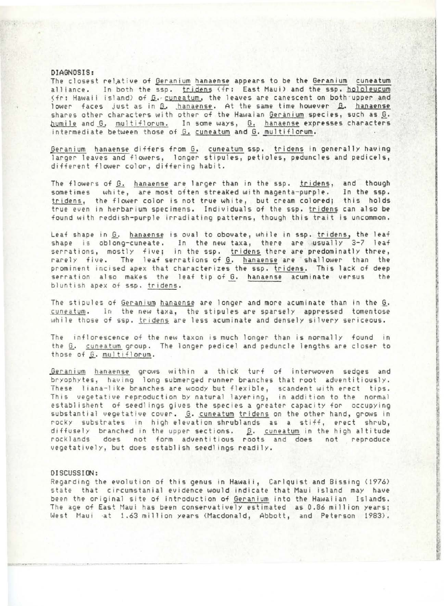### **DIAGNOSIS:**

The closest relative of Geranium hanaense appears to be the Geranium cuneatum alliance. In both the ssp. tridens (fr: East Maui) and the ssp. hololeucum (fr: Hawaii island) of G. cuneatum, the leaves are canescent on both upper and lower faces just as in G. hanaense. At the same time however G. hanaense shares other characters with other of the Hawaian Geranium species, such as *G*. humile and G, multiflorum. In some ways, G. hanaense expresses characters intermediate between those of G. cuneatum and G. multiflorum.

Geranium hanaense differs from G. cuneatum ssp. tridens in generally having larger leaves and flowers, longer stipules, petioles, peduncles and pedicels, different flower color, differing habit,

The flowers of G. hanaense are larger than in the ssp. tridens, and though sometimes white, are most often streaked with magenta-purple. In the ssp. tridens, the flower color is not true white, but cream colored; this holds true even in herbarium specimens. Individuals of the ssp. tridens can also be found with reddish-purple irradiating patterns, though this trait is uncommon.

Leaf shape in G. hanaense is oval to obovate, while in ssp. tridens, the leaf shape is oblong-cuneate. In the new taxa, there are usually 3-7 leaf serrations, mostly five; in the ssp. tridens there are predominatly three rarely five. The leaf-serrations of <u>G</u>. <u>hanaense</u> are shallower than the prominent incised apex that characterizes the ssp. tridens. This lack of deep serration also makes the leaf tip of G. hanaense acuminate versus the bluntish apex of sso. tridens .

The stipules of <u>Geranium</u> hanaense are longer and more acuminate than in the <u>G</u>.<br>cuneatum. In the new taxa, the stipules are sparsely appressed tomentose while those of ssp. tridens are less acuminate and densely silvery sericeous.

The inflorescence of the new taxon is much longer than is normally found in the G. cuneatum group. The longer pedicel and peduncle lengths are closer to those of G. multiflorum.

Geranium hanaense grows within a thick turf of interwoven sedges and bryophytes, having long submerged runner branches that root adventitiously. These liana-like branches are woody but flexible, scandent with erect tips. This vegetative reproduction by natural layering, in addition to the normal establishent of seedlings gives the species a greater capacity for occupying substantial vegetative cover. *G.* cuneatum tridens on the other hand, grows in rocky substrates in high elevation shrublands as a stiff, erect shrub, diffusely branched in the upper sections.  $\mathbf{\underline{\beta}}.$  cuneatum in the high altitu rocklands does not form adventitious roots and does not reproduc vegetatively, but does establish seedlings readily.

#### DISCUSSION:

Regarding the evolution of this genus in Hawaii, Carlquist and Bissing (1976) state that circumstanial evidence would indicate that Maui island may have been the original site of introduction of Geranium into the Hawaiian Islands. The age of East Maui has been conservatively estimated as 0.86 million years; West Maui at 1.63 million years (Macdonald, Abbott, and Peterson 1983).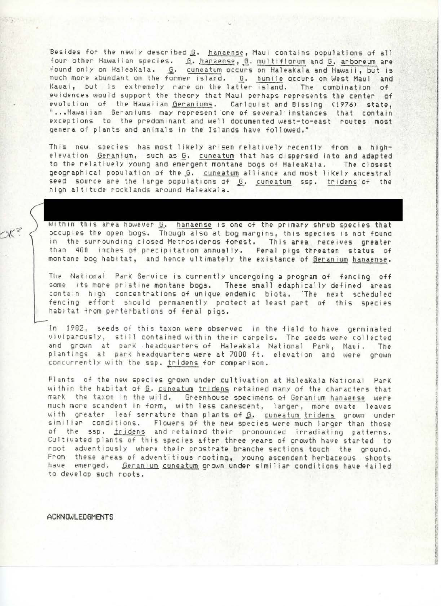Besides for the newly described *G*. hanaense, Maui contains populations of all four other Hawaiian species. .<u>G. hanaense</u>, G. multiflorum and G. arboreum are found only on HaleaKala. G. cuneatum occurs on Haleakala and Hawaii, but is much more abundant on the former island. **G.** humile occurs on West Maui and Kauai, but is extremely rare on the latter island. The combination of evidences would support the theory that Maui perhaps represents the center of evolution of the Hawaiian Geraniums. Carlquist and Bissing (1976) state, "...Hawaiian Geraniums may represent one of several instances that contain exceptions to the predominant and well documented west-to-east routes most genera of plants and animals in the Islands have followed."

This new species has most likely arisen relatively recently from a highelevation Geranium, such as *Q.* cuneatum that has dispersed into and adapted to the relatively young and emergent montane bogs of HaleaKala. The closest geographical population of the G. cuneatum alliance and most likely ancestral seed source are the large populations of  $S$ . cuneatum ssp. tridens of the high altitude rocklands around Haleakala.

Within this area however G. hanaense is one of the primary shrub species that occupies the open bogs. Though also at bog margins, this species is not found in the surrounding closed Metrosideros forest. This area receives greater than 400 inches of precipitation annually. Feral pigs threaten status of montane bog habitat, and hence ultimately the existance of Geranium hanaense.

**Brown American Second Control Control Control Control Control Control Control Control Control Control** 

**INSTALLS** 

t **Julian State** 

The National Park Service is currently undergoing a program of fencing off some its more pristine montane bogs. These small edaphically defined areas contain high concentrations of unique endemic biota. 'The next scheduled fencing effort should permanently protect at least part of this species habitat from perterbations of feral pigs.

ln 1982, seeds of this taxon were observed in the field to have germinated viviparously, still contained within their carpels. The seeds were collected and grown at parK headquarters of Haleakala National ParK, Maui. The plantings at park headquarters were at 7000 ft. elevation and were grown concurrently with the ssp. tridens for comparison.

Plants of the new species grown under cultivation at Haleakala National Park within the habitat of G. cuneatum tridens retained many of the characters that mark the taxon in the wild. Greenhouse specimens of Geranium hanaense were much more scandent in form, with less canescent, larger, more ovate leaves with greater leaf serrature than plants of G. cuneatum tridens grown under similiar conditions. Flowers of the new species were much larger than those of the ssp. tridens and retained their pronounced irradiating patterns. Cultivated plants of this species after three years of growth have started to root adventiously where their prostrate branche sections touch the ground. From these areas of adventitious rooting, young ascendent herbaceous shoots have emerged. Geranium cuneatum grown under similiar conditions have failed to develop such roots.

**ACKNOWLEOGNENTS**